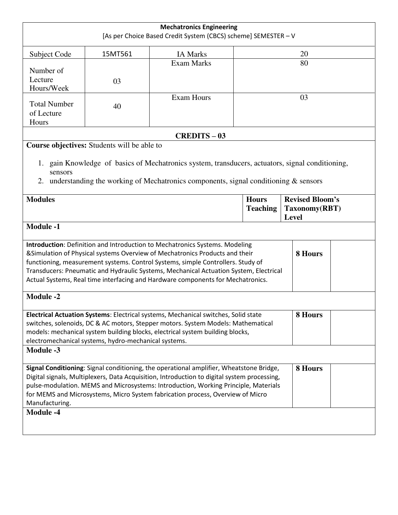|                                                                                                                                                                                                                                                                                                                                                                                                                                      |                                             | <b>Mechatronics Engineering</b><br>[As per Choice Based Credit System (CBCS) scheme] SEMESTER - V                                                                                          |                                 |                                                         |  |  |  |  |  |
|--------------------------------------------------------------------------------------------------------------------------------------------------------------------------------------------------------------------------------------------------------------------------------------------------------------------------------------------------------------------------------------------------------------------------------------|---------------------------------------------|--------------------------------------------------------------------------------------------------------------------------------------------------------------------------------------------|---------------------------------|---------------------------------------------------------|--|--|--|--|--|
| Subject Code                                                                                                                                                                                                                                                                                                                                                                                                                         | 15MT561                                     | <b>IA Marks</b>                                                                                                                                                                            |                                 | 20                                                      |  |  |  |  |  |
| Number of<br>Lecture<br>Hours/Week                                                                                                                                                                                                                                                                                                                                                                                                   | 03                                          | <b>Exam Marks</b>                                                                                                                                                                          |                                 | 80                                                      |  |  |  |  |  |
| <b>Total Number</b><br>of Lecture<br>Hours                                                                                                                                                                                                                                                                                                                                                                                           | 40                                          | <b>Exam Hours</b>                                                                                                                                                                          |                                 | 03                                                      |  |  |  |  |  |
| <b>CREDITS - 03</b>                                                                                                                                                                                                                                                                                                                                                                                                                  |                                             |                                                                                                                                                                                            |                                 |                                                         |  |  |  |  |  |
| sensors<br>2.                                                                                                                                                                                                                                                                                                                                                                                                                        | Course objectives: Students will be able to | 1. gain Knowledge of basics of Mechatronics system, transducers, actuators, signal conditioning,<br>understanding the working of Mechatronics components, signal conditioning $\&$ sensors |                                 |                                                         |  |  |  |  |  |
| <b>Modules</b>                                                                                                                                                                                                                                                                                                                                                                                                                       |                                             |                                                                                                                                                                                            | <b>Hours</b><br><b>Teaching</b> | <b>Revised Bloom's</b><br>Taxonomy(RBT)<br><b>Level</b> |  |  |  |  |  |
| <b>Module -1</b>                                                                                                                                                                                                                                                                                                                                                                                                                     |                                             |                                                                                                                                                                                            |                                 |                                                         |  |  |  |  |  |
| Introduction: Definition and Introduction to Mechatronics Systems. Modeling<br>&Simulation of Physical systems Overview of Mechatronics Products and their<br>8 Hours<br>functioning, measurement systems. Control Systems, simple Controllers. Study of<br>Transducers: Pneumatic and Hydraulic Systems, Mechanical Actuation System, Electrical<br>Actual Systems, Real time interfacing and Hardware components for Mechatronics. |                                             |                                                                                                                                                                                            |                                 |                                                         |  |  |  |  |  |
| <b>Module -2</b>                                                                                                                                                                                                                                                                                                                                                                                                                     |                                             |                                                                                                                                                                                            |                                 |                                                         |  |  |  |  |  |
| 8 Hours<br>Electrical Actuation Systems: Electrical systems, Mechanical switches, Solid state<br>switches, solenoids, DC & AC motors, Stepper motors. System Models: Mathematical<br>models: mechanical system building blocks, electrical system building blocks,<br>electromechanical systems, hydro-mechanical systems.                                                                                                           |                                             |                                                                                                                                                                                            |                                 |                                                         |  |  |  |  |  |
| <b>Module -3</b>                                                                                                                                                                                                                                                                                                                                                                                                                     |                                             |                                                                                                                                                                                            |                                 |                                                         |  |  |  |  |  |
| Signal Conditioning: Signal conditioning, the operational amplifier, Wheatstone Bridge,<br>Digital signals, Multiplexers, Data Acquisition, Introduction to digital system processing,<br>pulse-modulation. MEMS and Microsystems: Introduction, Working Principle, Materials<br>for MEMS and Microsystems, Micro System fabrication process, Overview of Micro<br>Manufacturing.                                                    | 8 Hours                                     |                                                                                                                                                                                            |                                 |                                                         |  |  |  |  |  |
| <b>Module -4</b>                                                                                                                                                                                                                                                                                                                                                                                                                     |                                             |                                                                                                                                                                                            |                                 |                                                         |  |  |  |  |  |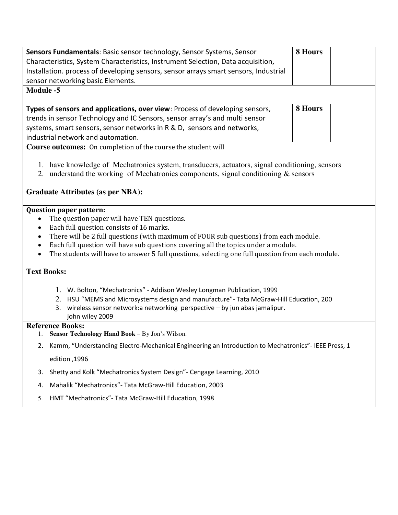| Characteristics, System Characteristics, Instrument Selection, Data acquisition,<br>Installation. process of developing sensors, sensor arrays smart sensors, Industrial<br>sensor networking basic Elements. |  |  |  |  |  |  |
|---------------------------------------------------------------------------------------------------------------------------------------------------------------------------------------------------------------|--|--|--|--|--|--|
|                                                                                                                                                                                                               |  |  |  |  |  |  |
|                                                                                                                                                                                                               |  |  |  |  |  |  |
|                                                                                                                                                                                                               |  |  |  |  |  |  |
| <b>Module -5</b>                                                                                                                                                                                              |  |  |  |  |  |  |
| 8 Hours<br>Types of sensors and applications, over view: Process of developing sensors,                                                                                                                       |  |  |  |  |  |  |
| trends in sensor Technology and IC Sensors, sensor array's and multi sensor                                                                                                                                   |  |  |  |  |  |  |
| systems, smart sensors, sensor networks in R & D, sensors and networks,                                                                                                                                       |  |  |  |  |  |  |
| industrial network and automation.                                                                                                                                                                            |  |  |  |  |  |  |
| <b>Course outcomes:</b> On completion of the course the student will                                                                                                                                          |  |  |  |  |  |  |
|                                                                                                                                                                                                               |  |  |  |  |  |  |
| 1. have knowledge of Mechatronics system, transducers, actuators, signal conditioning, sensors                                                                                                                |  |  |  |  |  |  |
| 2. understand the working of Mechatronics components, signal conditioning $&$ sensors                                                                                                                         |  |  |  |  |  |  |
| <b>Graduate Attributes (as per NBA):</b>                                                                                                                                                                      |  |  |  |  |  |  |
|                                                                                                                                                                                                               |  |  |  |  |  |  |
| <b>Question paper pattern:</b>                                                                                                                                                                                |  |  |  |  |  |  |
| The question paper will have TEN questions.<br>$\bullet$                                                                                                                                                      |  |  |  |  |  |  |
| Each full question consists of 16 marks.<br>٠                                                                                                                                                                 |  |  |  |  |  |  |
| There will be 2 full questions (with maximum of FOUR sub questions) from each module.<br>٠                                                                                                                    |  |  |  |  |  |  |
| Each full question will have sub questions covering all the topics under a module.<br>$\bullet$                                                                                                               |  |  |  |  |  |  |
| The students will have to answer 5 full questions, selecting one full question from each module.                                                                                                              |  |  |  |  |  |  |
| <b>Text Books:</b>                                                                                                                                                                                            |  |  |  |  |  |  |
|                                                                                                                                                                                                               |  |  |  |  |  |  |
|                                                                                                                                                                                                               |  |  |  |  |  |  |
| 1. W. Bolton, "Mechatronics" - Addison Wesley Longman Publication, 1999                                                                                                                                       |  |  |  |  |  |  |
| 2. HSU "MEMS and Microsystems design and manufacture"- Tata McGraw-Hill Education, 200                                                                                                                        |  |  |  |  |  |  |
| wireless sensor network:a networking perspective - by jun abas jamalipur.<br>3.<br>john wiley 2009                                                                                                            |  |  |  |  |  |  |
| <b>Reference Books:</b>                                                                                                                                                                                       |  |  |  |  |  |  |
| Sensor Technology Hand Book - By Jon's Wilson.<br>1.                                                                                                                                                          |  |  |  |  |  |  |
| Kamm, "Understanding Electro-Mechanical Engineering an Introduction to Mechatronics" - IEEE Press, 1<br>2.                                                                                                    |  |  |  |  |  |  |
| edition, 1996                                                                                                                                                                                                 |  |  |  |  |  |  |
| Shetty and Kolk "Mechatronics System Design" - Cengage Learning, 2010<br>3.                                                                                                                                   |  |  |  |  |  |  |
| Mahalik "Mechatronics"- Tata McGraw-Hill Education, 2003<br>4.                                                                                                                                                |  |  |  |  |  |  |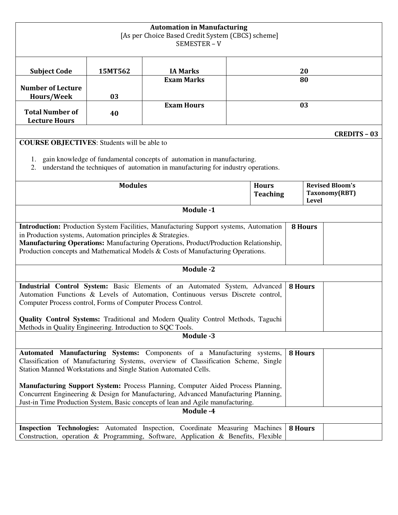|                                                                                                                                                                        |                | <b>Automation in Manufacturing</b><br>[As per Choice Based Credit System (CBCS) scheme]<br>SEMESTER-V                                                             |  |                                                                            |                |                     |  |
|------------------------------------------------------------------------------------------------------------------------------------------------------------------------|----------------|-------------------------------------------------------------------------------------------------------------------------------------------------------------------|--|----------------------------------------------------------------------------|----------------|---------------------|--|
| <b>Subject Code</b>                                                                                                                                                    | 15MT562        | <b>IA Marks</b>                                                                                                                                                   |  | 20                                                                         |                |                     |  |
|                                                                                                                                                                        |                | <b>Exam Marks</b>                                                                                                                                                 |  |                                                                            | 80             |                     |  |
| <b>Number of Lecture</b><br><b>Hours/Week</b>                                                                                                                          | 03             |                                                                                                                                                                   |  |                                                                            |                |                     |  |
|                                                                                                                                                                        |                | <b>Exam Hours</b>                                                                                                                                                 |  |                                                                            | 03             |                     |  |
| <b>Total Number of</b>                                                                                                                                                 | 40             |                                                                                                                                                                   |  |                                                                            |                |                     |  |
| <b>Lecture Hours</b>                                                                                                                                                   |                |                                                                                                                                                                   |  |                                                                            |                |                     |  |
|                                                                                                                                                                        |                |                                                                                                                                                                   |  |                                                                            |                | <b>CREDITS - 03</b> |  |
| <b>COURSE OBJECTIVES:</b> Students will be able to                                                                                                                     |                |                                                                                                                                                                   |  |                                                                            |                |                     |  |
| 1.                                                                                                                                                                     |                | gain knowledge of fundamental concepts of automation in manufacturing.                                                                                            |  |                                                                            |                |                     |  |
| 2.                                                                                                                                                                     |                | understand the techniques of automation in manufacturing for industry operations.                                                                                 |  |                                                                            |                |                     |  |
|                                                                                                                                                                        |                |                                                                                                                                                                   |  |                                                                            |                |                     |  |
|                                                                                                                                                                        | <b>Modules</b> |                                                                                                                                                                   |  | <b>Revised Bloom's</b><br><b>Hours</b><br>Taxonomy(RBT)<br><b>Teaching</b> |                |                     |  |
|                                                                                                                                                                        |                |                                                                                                                                                                   |  |                                                                            | <b>Level</b>   |                     |  |
|                                                                                                                                                                        |                | Module -1                                                                                                                                                         |  |                                                                            |                |                     |  |
|                                                                                                                                                                        |                | Introduction: Production System Facilities, Manufacturing Support systems, Automation                                                                             |  |                                                                            | <b>8 Hours</b> |                     |  |
| in Production systems, Automation principles & Strategies.                                                                                                             |                | Manufacturing Operations: Manufacturing Operations, Product/Production Relationship,                                                                              |  |                                                                            |                |                     |  |
|                                                                                                                                                                        |                | Production concepts and Mathematical Models & Costs of Manufacturing Operations.                                                                                  |  |                                                                            |                |                     |  |
|                                                                                                                                                                        |                | <b>Module -2</b>                                                                                                                                                  |  |                                                                            |                |                     |  |
|                                                                                                                                                                        |                |                                                                                                                                                                   |  |                                                                            |                |                     |  |
| Industrial Control System: Basic Elements of an Automated System, Advanced<br><b>8 Hours</b>                                                                           |                |                                                                                                                                                                   |  |                                                                            |                |                     |  |
| Automation Functions & Levels of Automation, Continuous versus Discrete control,<br>Computer Process control, Forms of Computer Process Control.                       |                |                                                                                                                                                                   |  |                                                                            |                |                     |  |
|                                                                                                                                                                        |                |                                                                                                                                                                   |  |                                                                            |                |                     |  |
| Methods in Quality Engineering. Introduction to SQC Tools.                                                                                                             |                | Quality Control Systems: Traditional and Modern Quality Control Methods, Taguchi                                                                                  |  |                                                                            |                |                     |  |
|                                                                                                                                                                        |                | Module -3                                                                                                                                                         |  |                                                                            |                |                     |  |
|                                                                                                                                                                        |                |                                                                                                                                                                   |  |                                                                            |                |                     |  |
|                                                                                                                                                                        |                | Automated Manufacturing Systems: Components of a Manufacturing systems,                                                                                           |  |                                                                            | <b>8 Hours</b> |                     |  |
| Station Manned Workstations and Single Station Automated Cells.                                                                                                        |                | Classification of Manufacturing Systems, overview of Classification Scheme, Single                                                                                |  |                                                                            |                |                     |  |
|                                                                                                                                                                        |                |                                                                                                                                                                   |  |                                                                            |                |                     |  |
| Manufacturing Support System: Process Planning, Computer Aided Process Planning,                                                                                       |                |                                                                                                                                                                   |  |                                                                            |                |                     |  |
| Concurrent Engineering & Design for Manufacturing, Advanced Manufacturing Planning,<br>Just-in Time Production System, Basic concepts of lean and Agile manufacturing. |                |                                                                                                                                                                   |  |                                                                            |                |                     |  |
| Module -4                                                                                                                                                              |                |                                                                                                                                                                   |  |                                                                            |                |                     |  |
|                                                                                                                                                                        |                |                                                                                                                                                                   |  |                                                                            |                |                     |  |
|                                                                                                                                                                        |                | Inspection Technologies: Automated Inspection, Coordinate Measuring Machines<br>Construction, operation & Programming, Software, Application & Benefits, Flexible |  |                                                                            | 8 Hours        |                     |  |